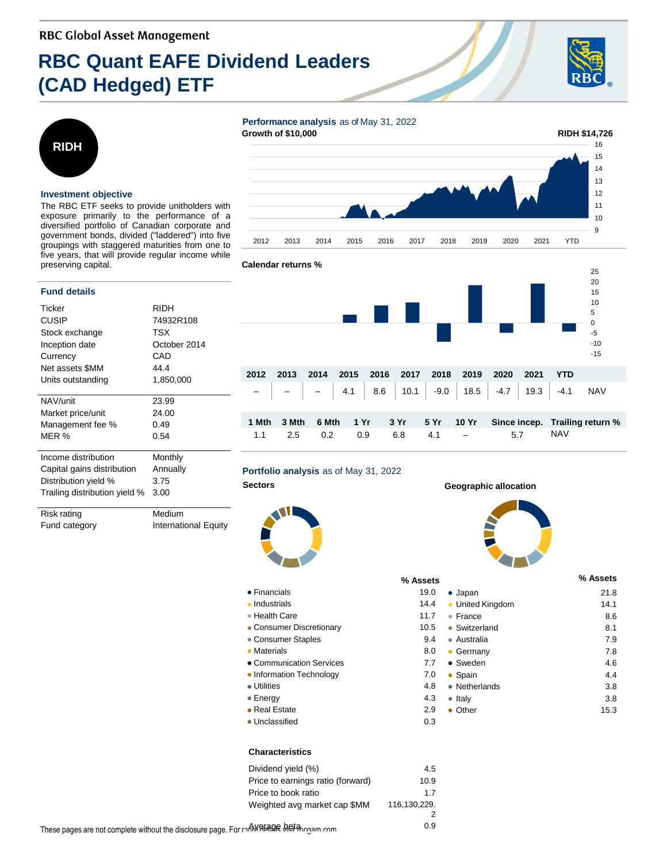# **RBC Quant EAFE Dividend Leaders (CAD Hedged) ETF**





#### **Investment objective**

The RBC ETF seeks to provide unitholders with exposure primarily to the performance of a diversified portfolio of Canadian corporate and government bonds, divided ("laddered") into five groupings with staggered maturities from one to five years, that will provide regular income while preserving capital.

#### **Fund details**

| Ticker                        | <b>RIDH</b>  |  |  |  |
|-------------------------------|--------------|--|--|--|
| <b>CUSIP</b>                  | 74932R108    |  |  |  |
| Stock exchange                | TSX          |  |  |  |
| Inception date                | October 2014 |  |  |  |
| Currency                      | CAD          |  |  |  |
| Net assets \$MM               | 44.4         |  |  |  |
| Units outstanding             | 1,850,000    |  |  |  |
|                               |              |  |  |  |
| NAV/unit                      | 23.99        |  |  |  |
| Market price/unit             | 24.00        |  |  |  |
| Management fee %              | 0.49         |  |  |  |
| MER %                         | 0.54         |  |  |  |
|                               |              |  |  |  |
| Income distribution           | Monthly      |  |  |  |
| Capital gains distribution    | Annually     |  |  |  |
| Distribution yield %          | 3.75         |  |  |  |
| Trailing distribution yield % | 3.00         |  |  |  |
|                               |              |  |  |  |
| Diek ratina                   | Madium       |  |  |  |

kısk ratıng Fund category **International Equity** 





## **Portfolio analysis** as of May 31, 2022

#### ● Financials 19.000 19.000 19.000 19.000 19.000 19.000 19.000 19.000 19.000 19.000 19.000 19.000 19.000 19.000 19.000 19.000 19.000 19.000 19.000 19.000 19.000 19.000 19.000 19.000 19.000 19.000 19.000 19.000 19.000 19.00

- Industrials 14.4
- Health Care 11.75
- Consumer Discretionary 10.5 and 10.5 and 10.5 and 10.5 and 10.5 and 10.5 and 10.5 and 10.5 and 10.5 and 10.5 and 10.5 and 10.5 and 10.5 and 10.5 and 10.5 and 10.5 and 10.5 and 10.5 and 10.5 and 10.5 and 10.5 and 10.5 and
- Consumer Staples 9.44
- Materials 8.000 and 8.000 and 8.000 and 8.000 and 8.000 and 8.000 and 8.000 and 8.000 and 8.000 and 8.000 and 8.000 and 8.000 and 8.000 and 8.000 and 8.000 and 8.000 and 8.000 and 8.000 and 8.000 and 8.000 and 8.000 and
- Communication Services 7
- Information Technology 7 ● Utilities 4.8
- 
- Energy 4.3
- Real Estate 2.9 ● Unclassified 0.3

#### **Characteristics**

| Dividend yield (%)                                | 4.5          |
|---------------------------------------------------|--------------|
| Price to earnings ratio (forward)                 | 10.9         |
| Price to book ratio                               | 1.7          |
| Weighted avg market cap \$MM                      | 116,130,229. |
|                                                   |              |
| age. For more al <del>igate</del> wet thou am.com | 0.9          |

#### **Sectors Geographic allocation**

| % Assets |                          | % Assets |
|----------|--------------------------|----------|
| 19.0     | $\bullet$ Japan          | 21.8     |
| 14.4     | United Kingdom           | 14.1     |
| 11.7     | France<br>۰              | 8.6      |
| 10.5     | Switzerland<br>$\bullet$ | 8.1      |
| 9.4      | $\bullet$ Australia      | 7.9      |
| 8.0      | Germany<br>۰             | 7.8      |
| 7.7      | • Sweden                 | 4.6      |
| 7.0      | Spain                    | 4.4      |
| 4.8      | • Netherlands            | 3.8      |
| 4.3      | Italy<br>$\bullet$       | 3.8      |
| 2.9      | Other                    | 15.3     |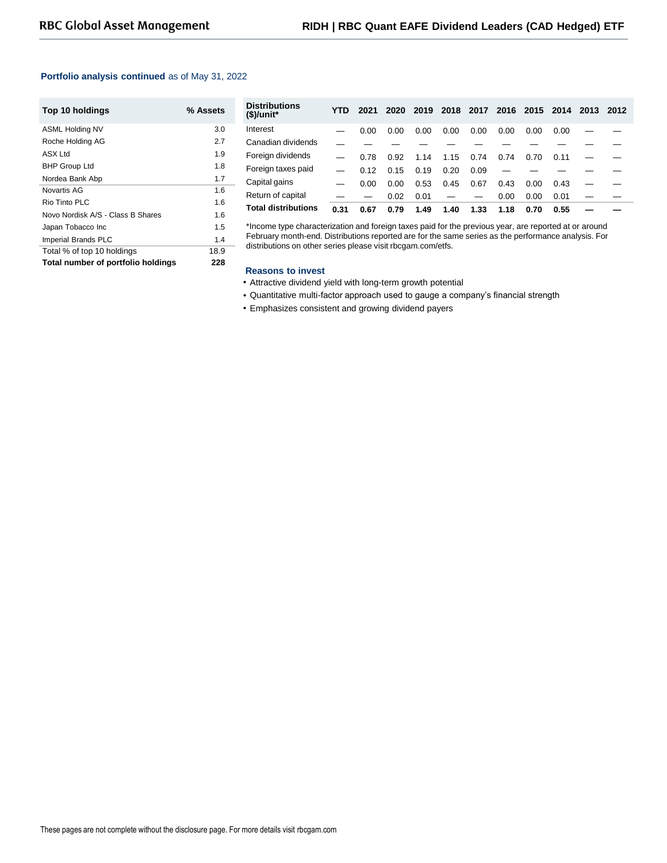### **Portfolio analysis continued** as of May 31, 2022

| Top 10 holdings                    | % Assets |
|------------------------------------|----------|
| <b>ASML Holding NV</b>             | 3.0      |
| Roche Holding AG                   | 2.7      |
| ASX Ltd                            | 1.9      |
| <b>BHP Group Ltd</b>               | 1.8      |
| Nordea Bank Abp                    | 1.7      |
| Novartis AG                        | 1.6      |
| Rio Tinto PI C                     | 1.6      |
| Novo Nordisk A/S - Class B Shares  | 1.6      |
| Japan Tobacco Inc                  | 1.5      |
| Imperial Brands PLC                | 1.4      |
| Total % of top 10 holdings         | 18.9     |
| Total number of portfolio holdings | 228      |

| Distributions<br>(\$)/unit* | YTD. | 2021 | 2020 |      |      |      |      |      | 2019 2018 2017 2016 2015 2014 2013 | 2012 |
|-----------------------------|------|------|------|------|------|------|------|------|------------------------------------|------|
| Interest                    |      | 0.00 | 0.00 | 0.00 | 0.00 | 0.00 | 0.00 | 0.00 | 0.00                               |      |
| Canadian dividends          |      |      |      |      |      |      |      |      |                                    |      |
| Foreign dividends           |      | 0.78 | 0.92 | 1.14 | 1.15 | 0.74 | 0.74 | 0.70 | 0.11                               |      |
| Foreign taxes paid          |      | 0.12 | 0.15 | 0.19 | 0.20 | 0.09 |      |      |                                    |      |
| Capital gains               |      | 0.00 | 0.00 | 0.53 | 0.45 | 0.67 | 0.43 | 0.00 | 0.43                               |      |
| Return of capital           |      |      | 0.02 | 0.01 |      |      | 0.00 | 0.00 | 0.01                               |      |
| <b>Total distributions</b>  | 0.31 | 0.67 | 0.79 | 1.49 | 1.40 | 1.33 | 1.18 | 0.70 | 0.55                               |      |

\*Income type characterization and foreign taxes paid for the previous year, are reported at or around February month-end. Distributions reported are for the same series as the performance analysis. For distributions on other series please visit rbcgam.com/etfs.

#### **Reasons to invest**

- Attractive dividend yield with long-term growth potential
- Quantitative multi-factor approach used to gauge a company's financial strength
- Emphasizes consistent and growing dividend payers